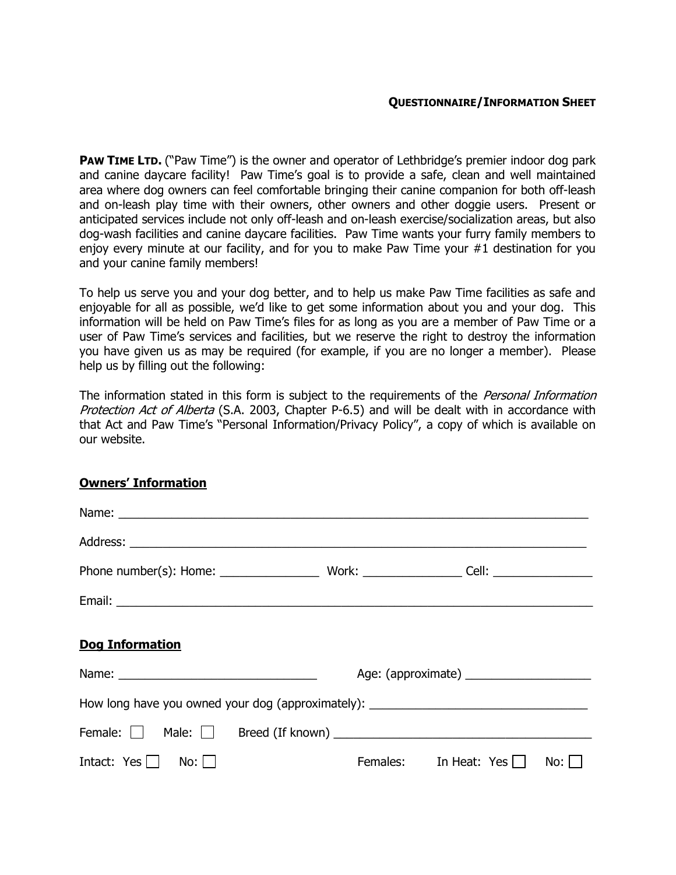**PAW TIME LTD.** ("Paw Time") is the owner and operator of Lethbridge's premier indoor dog park and canine daycare facility! Paw Time's goal is to provide a safe, clean and well maintained area where dog owners can feel comfortable bringing their canine companion for both off-leash and on-leash play time with their owners, other owners and other doggie users. Present or anticipated services include not only off-leash and on-leash exercise/socialization areas, but also dog-wash facilities and canine daycare facilities. Paw Time wants your furry family members to enjoy every minute at our facility, and for you to make Paw Time your #1 destination for you and your canine family members!

To help us serve you and your dog better, and to help us make Paw Time facilities as safe and enjoyable for all as possible, we'd like to get some information about you and your dog. This information will be held on Paw Time's files for as long as you are a member of Paw Time or a user of Paw Time's services and facilities, but we reserve the right to destroy the information you have given us as may be required (for example, if you are no longer a member). Please help us by filling out the following:

The information stated in this form is subject to the requirements of the Personal Information Protection Act of Alberta (S.A. 2003, Chapter P-6.5) and will be dealt with in accordance with that Act and Paw Time's "Personal Information/Privacy Policy", a copy of which is available on our website.

## Owners' Information

| Name: Name: Name: Name: Name: Name: Name: Name: Name: Name: Name: Name: Name: Name: Name: Name: Name: Name: Name: Name: Name: Name: Name: Name: Name: Name: Name: Name: Name: Name: Name: Name: Name: Name: Name: Name: Name: |                                           |                       |     |  |  |
|-------------------------------------------------------------------------------------------------------------------------------------------------------------------------------------------------------------------------------|-------------------------------------------|-----------------------|-----|--|--|
|                                                                                                                                                                                                                               |                                           |                       |     |  |  |
|                                                                                                                                                                                                                               |                                           |                       |     |  |  |
|                                                                                                                                                                                                                               |                                           |                       |     |  |  |
| <b>Dog Information</b>                                                                                                                                                                                                        |                                           |                       |     |  |  |
|                                                                                                                                                                                                                               | Age: (approximate) ______________________ |                       |     |  |  |
| How long have you owned your dog (approximately): ______________________________                                                                                                                                              |                                           |                       |     |  |  |
|                                                                                                                                                                                                                               |                                           |                       |     |  |  |
| Intact: $Yes \mid \mid No:\mid \mid$                                                                                                                                                                                          |                                           | Females: In Heat: Yes | No: |  |  |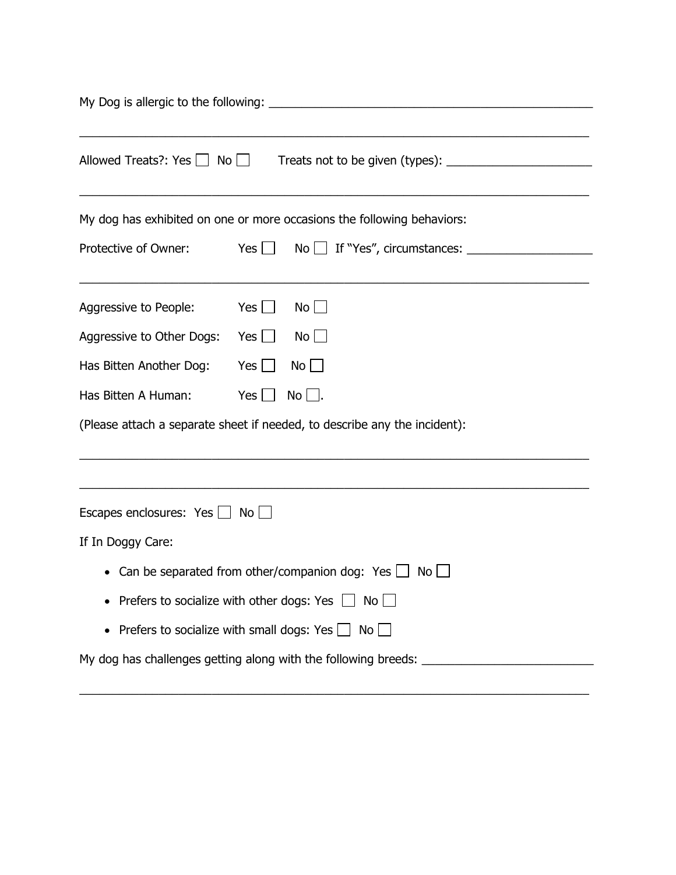| Allowed Treats?: Yes $\Box$ No $\Box$  |                                                                           |  |  |
|----------------------------------------|---------------------------------------------------------------------------|--|--|
|                                        | My dog has exhibited on one or more occasions the following behaviors:    |  |  |
| Protective of Owner:                   | Yes $\Box$                                                                |  |  |
| Aggressive to People:                  | Yes $\Box$<br>$No$                                                        |  |  |
| Aggressive to Other Dogs:              | Yes $\Box$<br>$No$ $\Box$                                                 |  |  |
| Has Bitten Another Dog:                | Yes $\Box$<br>$No$ $\Box$                                                 |  |  |
| Has Bitten A Human:                    | Yes $\Box$<br>$No$ .                                                      |  |  |
|                                        | (Please attach a separate sheet if needed, to describe any the incident): |  |  |
| Escapes enclosures: $Yes \Box No \Box$ |                                                                           |  |  |
| If In Doggy Care:                      |                                                                           |  |  |
|                                        | • Can be separated from other/companion dog: Yes $\Box$ No $\Box$         |  |  |
|                                        | Prefers to socialize with other dogs: Yes $\Box$ No $\Box$                |  |  |
|                                        | Prefers to socialize with small dogs: Yes $\Box$ No $\Box$                |  |  |
|                                        | My dog has challenges getting along with the following breeds:            |  |  |

\_\_\_\_\_\_\_\_\_\_\_\_\_\_\_\_\_\_\_\_\_\_\_\_\_\_\_\_\_\_\_\_\_\_\_\_\_\_\_\_\_\_\_\_\_\_\_\_\_\_\_\_\_\_\_\_\_\_\_\_\_\_\_\_\_\_\_\_\_\_\_\_\_\_\_\_\_